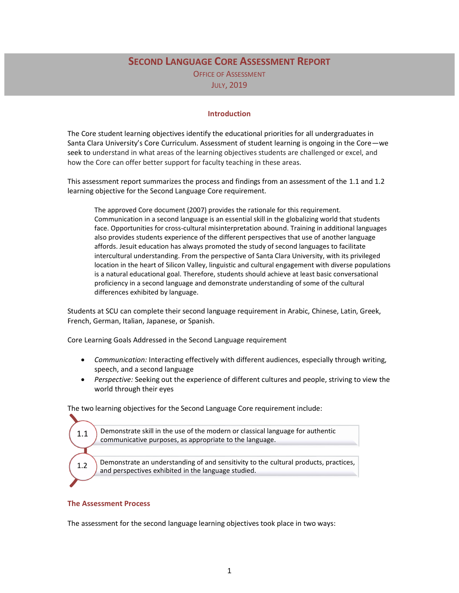# **SECOND LANGUAGE CORE ASSESSMENT REPORT** OFFICE OF ASSESSMENT JULY, 2019

#### **Introduction**

The Core student learning objectives identify the educational priorities for all undergraduates in Santa Clara University's Core Curriculum. Assessment of student learning is ongoing in the Core—we seek to understand in what areas of the learning objectives students are challenged or excel, and how the Core can offer better support for faculty teaching in these areas.

This assessment report summarizes the process and findings from an assessment of the 1.1 and 1.2 learning objective for the Second Language Core requirement.

The approved Core document (2007) provides the rationale for this requirement. Communication in a second language is an essential skill in the globalizing world that students face. Opportunities for cross-cultural misinterpretation abound. Training in additional languages also provides students experience of the different perspectives that use of another language affords. Jesuit education has always promoted the study of second languages to facilitate intercultural understanding. From the perspective of Santa Clara University, with its privileged location in the heart of Silicon Valley, linguistic and cultural engagement with diverse populations is a natural educational goal. Therefore, students should achieve at least basic conversational proficiency in a second language and demonstrate understanding of some of the cultural differences exhibited by language.

Students at SCU can complete their second language requirement in Arabic, Chinese, Latin, Greek, French, German, Italian, Japanese, or Spanish.

Core Learning Goals Addressed in the Second Language requirement

- *Communication:* Interacting effectively with different audiences, especially through writing, speech, and a second language
- *Perspective:* Seeking out the experience of different cultures and people, striving to view the world through their eyes

The two learning objectives for the Second Language Core requirement include:

| 1.1 | Demonstrate skill in the use of the modern or classical language for authentic<br>communicative purposes, as appropriate to the language.   |
|-----|---------------------------------------------------------------------------------------------------------------------------------------------|
|     |                                                                                                                                             |
| 1.2 | Demonstrate an understanding of and sensitivity to the cultural products, practices,<br>and perspectives exhibited in the language studied. |
|     |                                                                                                                                             |

#### **The Assessment Process**

The assessment for the second language learning objectives took place in two ways: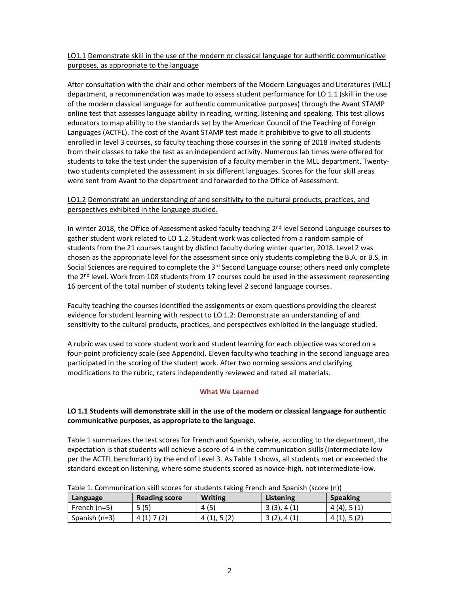## LO1.1 Demonstrate skill in the use of the modern or classical language for authentic communicative purposes, as appropriate to the language

After consultation with the chair and other members of the Modern Languages and Literatures (MLL) department, a recommendation was made to assess student performance for LO 1.1 (skill in the use of the modern classical language for authentic communicative purposes) through the Avant STAMP online test that assesses language ability in reading, writing, listening and speaking. This test allows educators to map ability to the standards set by the American Council of the Teaching of Foreign Languages (ACTFL). The cost of the Avant STAMP test made it prohibitive to give to all students enrolled in level 3 courses, so faculty teaching those courses in the spring of 2018 invited students from their classes to take the test as an independent activity. Numerous lab times were offered for students to take the test under the supervision of a faculty member in the MLL department. Twentytwo students completed the assessment in six different languages. Scores for the four skill areas were sent from Avant to the department and forwarded to the Office of Assessment.

## LO1.2 Demonstrate an understanding of and sensitivity to the cultural products, practices, and perspectives exhibited in the language studied.

In winter 2018, the Office of Assessment asked faculty teaching 2<sup>nd</sup> level Second Language courses to gather student work related to LO 1.2. Student work was collected from a random sample of students from the 21 courses taught by distinct faculty during winter quarter, 2018. Level 2 was chosen as the appropriate level for the assessment since only students completing the B.A. or B.S. in Social Sciences are required to complete the 3<sup>rd</sup> Second Language course; others need only complete the  $2<sup>nd</sup>$  level. Work from 108 students from 17 courses could be used in the assessment representing 16 percent of the total number of students taking level 2 second language courses.

Faculty teaching the courses identified the assignments or exam questions providing the clearest evidence for student learning with respect to LO 1.2: Demonstrate an understanding of and sensitivity to the cultural products, practices, and perspectives exhibited in the language studied.

A rubric was used to score student work and student learning for each objective was scored on a four-point proficiency scale (see Appendix). Eleven faculty who teaching in the second language area participated in the scoring of the student work. After two norming sessions and clarifying modifications to the rubric, raters independently reviewed and rated all materials.

## **What We Learned**

## **LO 1.1 Students will demonstrate skill in the use of the modern or classical language for authentic communicative purposes, as appropriate to the language.**

Table 1 summarizes the test scores for French and Spanish, where, according to the department, the expectation is that students will achieve a score of 4 in the communication skills (intermediate low per the ACTFL benchmark) by the end of Level 3. As Table 1 shows, all students met or exceeded the standard except on listening, where some students scored as novice-high, not intermediate-low.

| Table 1. Communication SKIII SCOTES TOL SLUUENTS TAKING FEEICH AND Spanish (SCOTE (11)) |                      |            |            |                 |  |
|-----------------------------------------------------------------------------------------|----------------------|------------|------------|-----------------|--|
| Language                                                                                | <b>Reading score</b> | Writing    | Listening  | <b>Speaking</b> |  |
| French (n=5)                                                                            | 5(5)                 | 4(5)       | 3(3), 4(1) | 4(4), 5(1)      |  |
| Spanish (n=3)                                                                           | 4(1)7(2)             | 4(1), 5(2) | 3(2), 4(1) | 4(1), 5(2)      |  |

Table 1. Communication skill scores for students taking French and Spanish (score (n))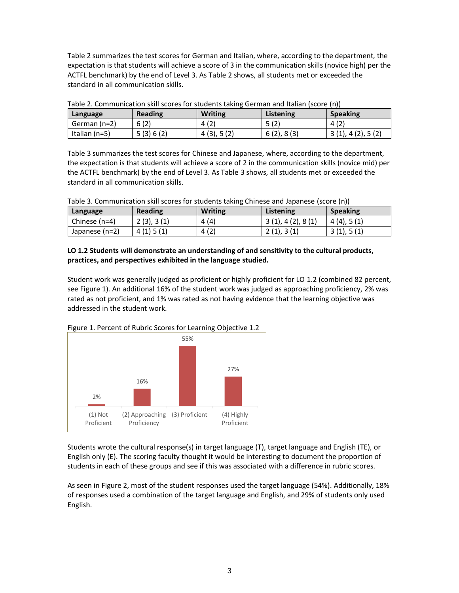Table 2 summarizes the test scores for German and Italian, where, according to the department, the expectation is that students will achieve a score of 3 in the communication skills (novice high) per the ACTFL benchmark) by the end of Level 3. As Table 2 shows, all students met or exceeded the standard in all communication skills.

| Language      | <b>Reading</b> | <b>Writing</b> | Listening  | <b>Speaking</b>  |
|---------------|----------------|----------------|------------|------------------|
| German (n=2)  | 6(2)           | 4(2)           | 5(2)       | 4(2)             |
| Italian (n=5) | 5(3)6(2)       | 4(3), 5(2)     | 6(2), 8(3) | 3(1), 4(2), 5(2) |

Table 2. Communication skill scores for students taking German and Italian (score (n))

Table 3 summarizes the test scores for Chinese and Japanese, where, according to the department, the expectation is that students will achieve a score of 2 in the communication skills (novice mid) per the ACTFL benchmark) by the end of Level 3. As Table 3 shows, all students met or exceeded the standard in all communication skills.

Table 3. Communication skill scores for students taking Chinese and Japanese (score (n))

| Language         | <b>Reading</b> | <b>Writing</b> | Listening        | <b>Speaking</b> |
|------------------|----------------|----------------|------------------|-----------------|
| Chinese (n=4)    | 2(3), 3(1)     | 4 (4)          | 3(1), 4(2), 8(1) | 4(4), 5(1)      |
| Japanese $(n=2)$ | 4(1)5(1)       | 4(2)           | 2(1), 3(1)       | 3(1), 5(1)      |

## **LO 1.2 Students will demonstrate an understanding of and sensitivity to the cultural products, practices, and perspectives exhibited in the language studied.**

Student work was generally judged as proficient or highly proficient for LO 1.2 (combined 82 percent, see Figure 1). An additional 16% of the student work was judged as approaching proficiency, 2% was rated as not proficient, and 1% was rated as not having evidence that the learning objective was addressed in the student work.



Figure 1. Percent of Rubric Scores for Learning Objective 1.2

Students wrote the cultural response(s) in target language (T), target language and English (TE), or English only (E). The scoring faculty thought it would be interesting to document the proportion of students in each of these groups and see if this was associated with a difference in rubric scores.

As seen in Figure 2, most of the student responses used the target language (54%). Additionally, 18% of responses used a combination of the target language and English, and 29% of students only used English.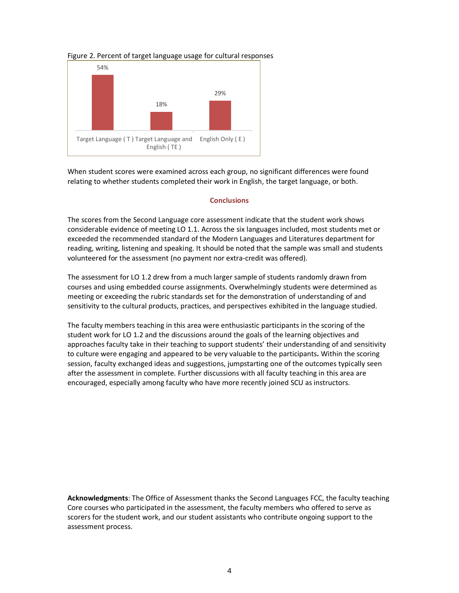#### Figure 2. Percent of target language usage for cultural responses



When student scores were examined across each group, no significant differences were found relating to whether students completed their work in English, the target language, or both.

#### **Conclusions**

The scores from the Second Language core assessment indicate that the student work shows considerable evidence of meeting LO 1.1. Across the six languages included, most students met or exceeded the recommended standard of the Modern Languages and Literatures department for reading, writing, listening and speaking. It should be noted that the sample was small and students volunteered for the assessment (no payment nor extra-credit was offered).

The assessment for LO 1.2 drew from a much larger sample of students randomly drawn from courses and using embedded course assignments. Overwhelmingly students were determined as meeting or exceeding the rubric standards set for the demonstration of understanding of and sensitivity to the cultural products, practices, and perspectives exhibited in the language studied.

The faculty members teaching in this area were enthusiastic participants in the scoring of the student work for LO 1.2 and the discussions around the goals of the learning objectives and approaches faculty take in their teaching to support students' their understanding of and sensitivity to culture were engaging and appeared to be very valuable to the participants**.** Within the scoring session, faculty exchanged ideas and suggestions, jumpstarting one of the outcomes typically seen after the assessment in complete. Further discussions with all faculty teaching in this area are encouraged, especially among faculty who have more recently joined SCU as instructors.

**Acknowledgments**: The Office of Assessment thanks the Second Languages FCC, the faculty teaching Core courses who participated in the assessment, the faculty members who offered to serve as scorers for the student work, and our student assistants who contribute ongoing support to the assessment process.